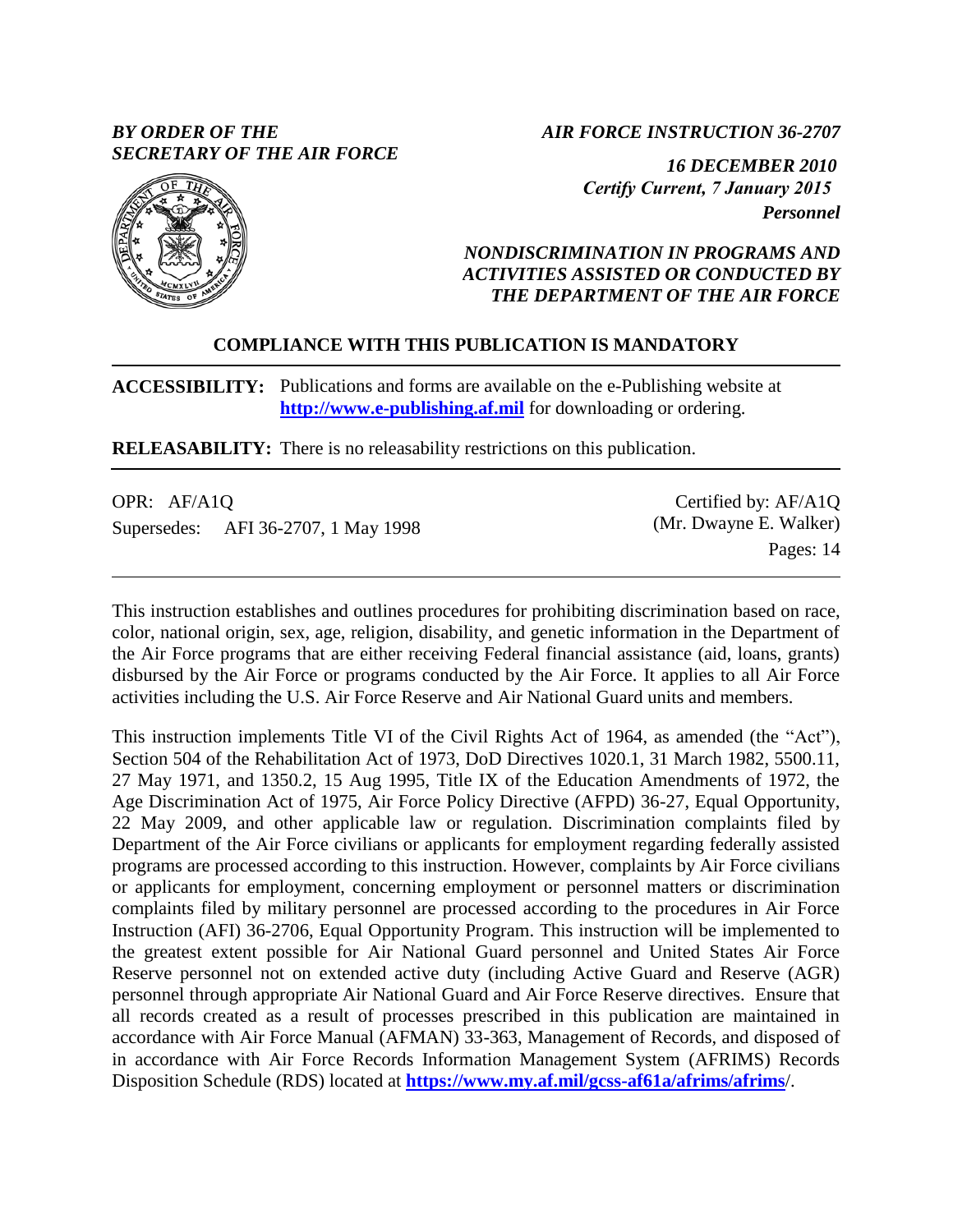# *BY ORDER OF THE SECRETARY OF THE AIR FORCE*

*AIR FORCE INSTRUCTION 36-2707* 

 *16 DECEMBER 2010 Certify Current, 7 January 2015 Personnel* 



# *NONDISCRIMINATION IN PROGRAMS AND ACTIVITIES ASSISTED OR CONDUCTED BY THE DEPARTMENT OF THE AIR FORCE*

# **COMPLIANCE WITH THIS PUBLICATION IS MANDATORY**

**ACCESSIBILITY:** Publications and forms are available on the e-Publishing website at **[http://www.e-publishing.af.mil](http://www.e-publishing.af.mil/)** for downloading or ordering.

**RELEASABILITY:** There is no releasability restrictions on this publication.

| OPR: AF/A1Q                         | Certified by: AF/A1Q   |
|-------------------------------------|------------------------|
| Supersedes: AFI 36-2707, 1 May 1998 | (Mr. Dwayne E. Walker) |
|                                     | Pages: 14              |

This instruction establishes and outlines procedures for prohibiting discrimination based on race, color, national origin, sex, age, religion, disability, and genetic information in the Department of the Air Force programs that are either receiving Federal financial assistance (aid, loans, grants) disbursed by the Air Force or programs conducted by the Air Force. It applies to all Air Force activities including the U.S. Air Force Reserve and Air National Guard units and members.

This instruction implements Title VI of the Civil Rights Act of 1964, as amended (the "Act"), Section 504 of the Rehabilitation Act of 1973, DoD Directives 1020.1, 31 March 1982, 5500.11, 27 May 1971, and 1350.2, 15 Aug 1995, Title IX of the Education Amendments of 1972, the Age Discrimination Act of 1975, Air Force Policy Directive (AFPD) 36-27, Equal Opportunity, 22 May 2009, and other applicable law or regulation. Discrimination complaints filed by Department of the Air Force civilians or applicants for employment regarding federally assisted programs are processed according to this instruction. However, complaints by Air Force civilians or applicants for employment, concerning employment or personnel matters or discrimination complaints filed by military personnel are processed according to the procedures in Air Force Instruction (AFI) 36-2706, Equal Opportunity Program. This instruction will be implemented to the greatest extent possible for Air National Guard personnel and United States Air Force Reserve personnel not on extended active duty (including Active Guard and Reserve (AGR) personnel through appropriate Air National Guard and Air Force Reserve directives. Ensure that all records created as a result of processes prescribed in this publication are maintained in accordance with Air Force Manual (AFMAN) 33-363, Management of Records, and disposed of in accordance with Air Force Records Information Management System (AFRIMS) Records Disposition Schedule (RDS) located at **<https://www.my.af.mil/gcss-af61a/afrims/afrims>**/.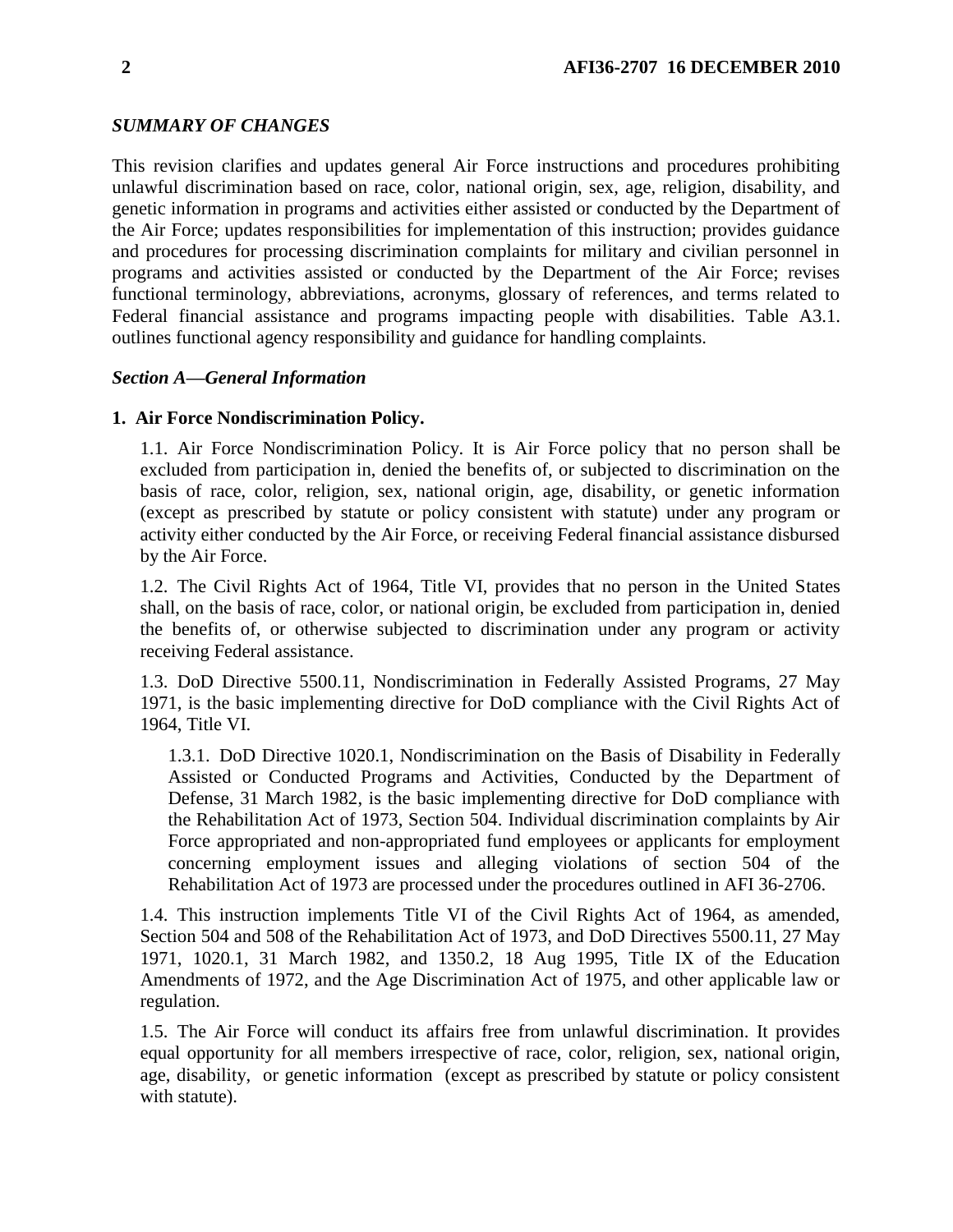# *SUMMARY OF CHANGES*

This revision clarifies and updates general Air Force instructions and procedures prohibiting unlawful discrimination based on race, color, national origin, sex, age, religion, disability, and genetic information in programs and activities either assisted or conducted by the Department of the Air Force; updates responsibilities for implementation of this instruction; provides guidance and procedures for processing discrimination complaints for military and civilian personnel in programs and activities assisted or conducted by the Department of the Air Force; revises functional terminology, abbreviations, acronyms, glossary of references, and terms related to Federal financial assistance and programs impacting people with disabilities. Table A3.1. outlines functional agency responsibility and guidance for handling complaints.

# *Section A—General Information*

### **1. Air Force Nondiscrimination Policy.**

1.1. Air Force Nondiscrimination Policy. It is Air Force policy that no person shall be excluded from participation in, denied the benefits of, or subjected to discrimination on the basis of race, color, religion, sex, national origin, age, disability, or genetic information (except as prescribed by statute or policy consistent with statute) under any program or activity either conducted by the Air Force, or receiving Federal financial assistance disbursed by the Air Force.

1.2. The Civil Rights Act of 1964, Title VI, provides that no person in the United States shall, on the basis of race, color, or national origin, be excluded from participation in, denied the benefits of, or otherwise subjected to discrimination under any program or activity receiving Federal assistance.

1.3. DoD Directive 5500.11, Nondiscrimination in Federally Assisted Programs, 27 May 1971, is the basic implementing directive for DoD compliance with the Civil Rights Act of 1964, Title VI.

1.3.1. DoD Directive 1020.1, Nondiscrimination on the Basis of Disability in Federally Assisted or Conducted Programs and Activities, Conducted by the Department of Defense, 31 March 1982, is the basic implementing directive for DoD compliance with the Rehabilitation Act of 1973, Section 504. Individual discrimination complaints by Air Force appropriated and non-appropriated fund employees or applicants for employment concerning employment issues and alleging violations of section 504 of the Rehabilitation Act of 1973 are processed under the procedures outlined in AFI 36-2706.

1.4. This instruction implements Title VI of the Civil Rights Act of 1964, as amended, Section 504 and 508 of the Rehabilitation Act of 1973, and DoD Directives 5500.11, 27 May 1971, 1020.1, 31 March 1982, and 1350.2, 18 Aug 1995, Title IX of the Education Amendments of 1972, and the Age Discrimination Act of 1975, and other applicable law or regulation.

1.5. The Air Force will conduct its affairs free from unlawful discrimination. It provides equal opportunity for all members irrespective of race, color, religion, sex, national origin, age, disability, or genetic information (except as prescribed by statute or policy consistent with statute).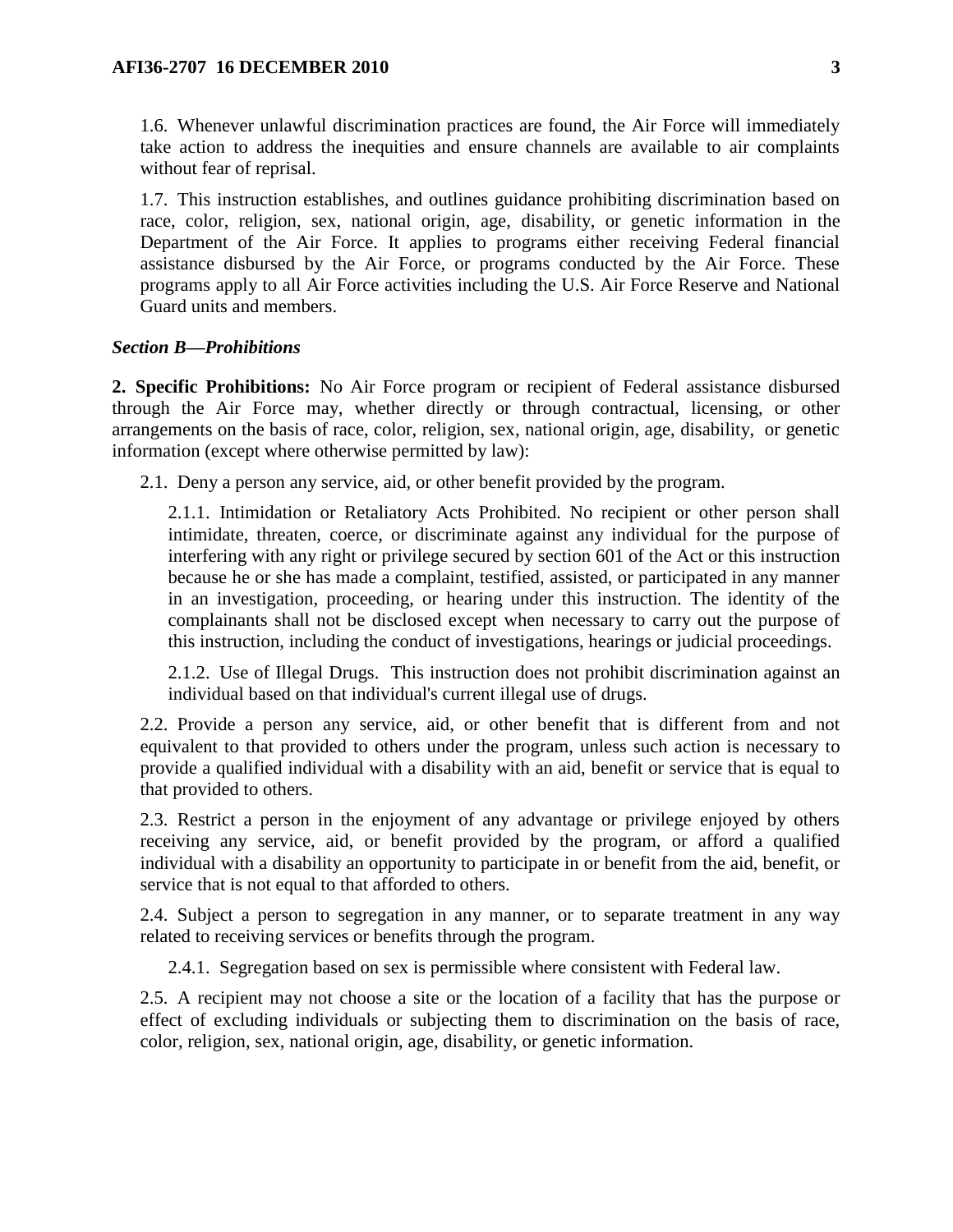1.6. Whenever unlawful discrimination practices are found, the Air Force will immediately take action to address the inequities and ensure channels are available to air complaints without fear of reprisal.

1.7. This instruction establishes, and outlines guidance prohibiting discrimination based on race, color, religion, sex, national origin, age, disability, or genetic information in the Department of the Air Force. It applies to programs either receiving Federal financial assistance disbursed by the Air Force, or programs conducted by the Air Force. These programs apply to all Air Force activities including the U.S. Air Force Reserve and National Guard units and members.

#### *Section B—Prohibitions*

**2. Specific Prohibitions:** No Air Force program or recipient of Federal assistance disbursed through the Air Force may, whether directly or through contractual, licensing, or other arrangements on the basis of race, color, religion, sex, national origin, age, disability, or genetic information (except where otherwise permitted by law):

2.1. Deny a person any service, aid, or other benefit provided by the program.

2.1.1. Intimidation or Retaliatory Acts Prohibited. No recipient or other person shall intimidate, threaten, coerce, or discriminate against any individual for the purpose of interfering with any right or privilege secured by section 601 of the Act or this instruction because he or she has made a complaint, testified, assisted, or participated in any manner in an investigation, proceeding, or hearing under this instruction. The identity of the complainants shall not be disclosed except when necessary to carry out the purpose of this instruction, including the conduct of investigations, hearings or judicial proceedings.

2.1.2. Use of Illegal Drugs. This instruction does not prohibit discrimination against an individual based on that individual's current illegal use of drugs.

2.2. Provide a person any service, aid, or other benefit that is different from and not equivalent to that provided to others under the program, unless such action is necessary to provide a qualified individual with a disability with an aid, benefit or service that is equal to that provided to others.

2.3. Restrict a person in the enjoyment of any advantage or privilege enjoyed by others receiving any service, aid, or benefit provided by the program, or afford a qualified individual with a disability an opportunity to participate in or benefit from the aid, benefit, or service that is not equal to that afforded to others.

2.4. Subject a person to segregation in any manner, or to separate treatment in any way related to receiving services or benefits through the program.

2.4.1. Segregation based on sex is permissible where consistent with Federal law.

2.5. A recipient may not choose a site or the location of a facility that has the purpose or effect of excluding individuals or subjecting them to discrimination on the basis of race, color, religion, sex, national origin, age, disability, or genetic information.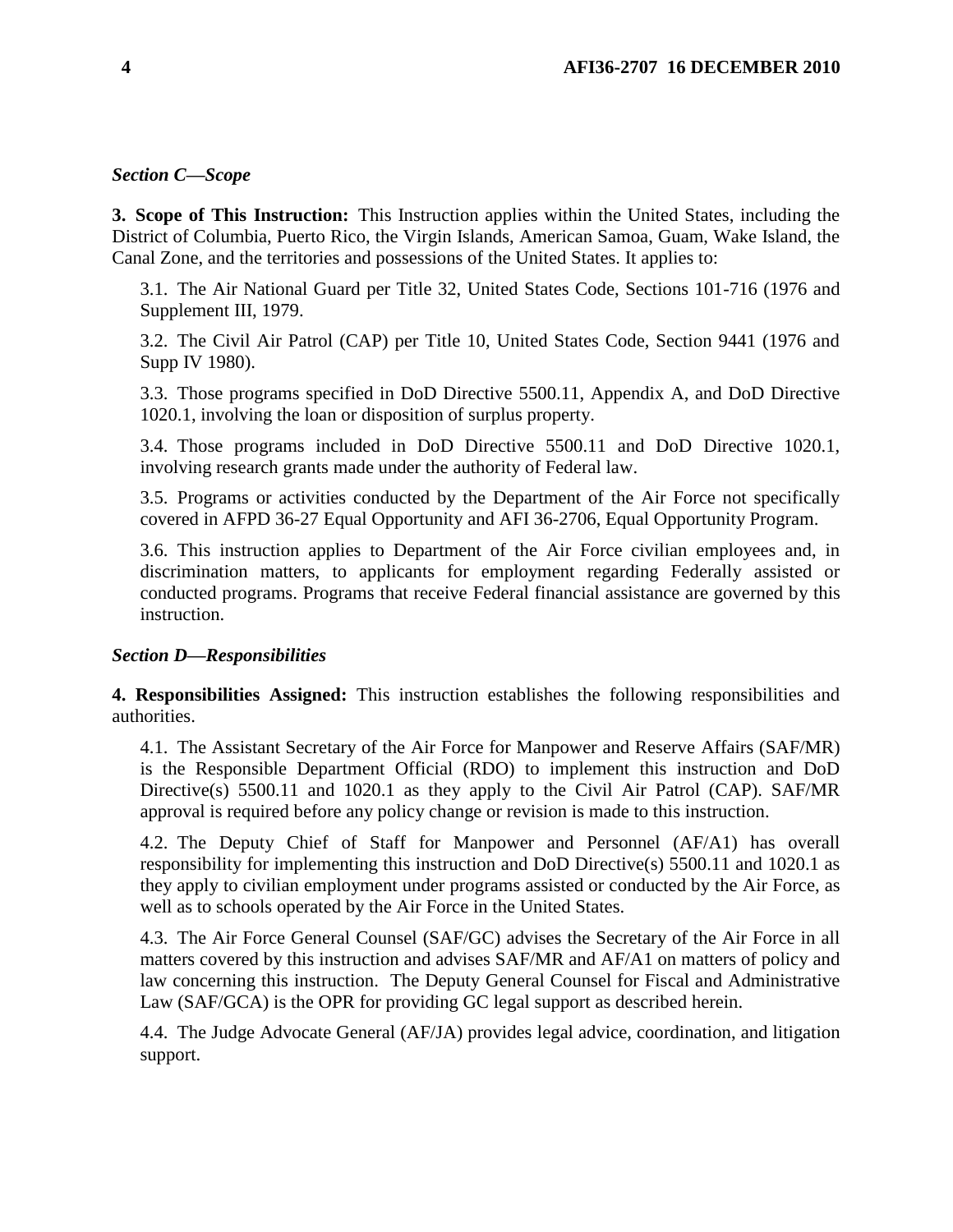# *Section C—Scope*

**3. Scope of This Instruction:** This Instruction applies within the United States, including the District of Columbia, Puerto Rico, the Virgin Islands, American Samoa, Guam, Wake Island, the Canal Zone, and the territories and possessions of the United States. It applies to:

3.1. The Air National Guard per Title 32, United States Code, Sections 101-716 (1976 and Supplement III, 1979.

3.2. The Civil Air Patrol (CAP) per Title 10, United States Code, Section 9441 (1976 and Supp IV 1980).

3.3. Those programs specified in DoD Directive 5500.11, Appendix A, and DoD Directive 1020.1, involving the loan or disposition of surplus property.

3.4. Those programs included in DoD Directive 5500.11 and DoD Directive 1020.1, involving research grants made under the authority of Federal law.

3.5. Programs or activities conducted by the Department of the Air Force not specifically covered in AFPD 36-27 Equal Opportunity and AFI 36-2706, Equal Opportunity Program.

3.6. This instruction applies to Department of the Air Force civilian employees and, in discrimination matters, to applicants for employment regarding Federally assisted or conducted programs. Programs that receive Federal financial assistance are governed by this instruction.

# *Section D—Responsibilities*

**4. Responsibilities Assigned:** This instruction establishes the following responsibilities and authorities.

4.1. The Assistant Secretary of the Air Force for Manpower and Reserve Affairs (SAF/MR) is the Responsible Department Official (RDO) to implement this instruction and DoD Directive(s) 5500.11 and 1020.1 as they apply to the Civil Air Patrol (CAP). SAF/MR approval is required before any policy change or revision is made to this instruction.

4.2. The Deputy Chief of Staff for Manpower and Personnel (AF/A1) has overall responsibility for implementing this instruction and DoD Directive(s) 5500.11 and 1020.1 as they apply to civilian employment under programs assisted or conducted by the Air Force, as well as to schools operated by the Air Force in the United States.

4.3. The Air Force General Counsel (SAF/GC) advises the Secretary of the Air Force in all matters covered by this instruction and advises SAF/MR and AF/A1 on matters of policy and law concerning this instruction. The Deputy General Counsel for Fiscal and Administrative Law (SAF/GCA) is the OPR for providing GC legal support as described herein.

4.4. The Judge Advocate General (AF/JA) provides legal advice, coordination, and litigation support.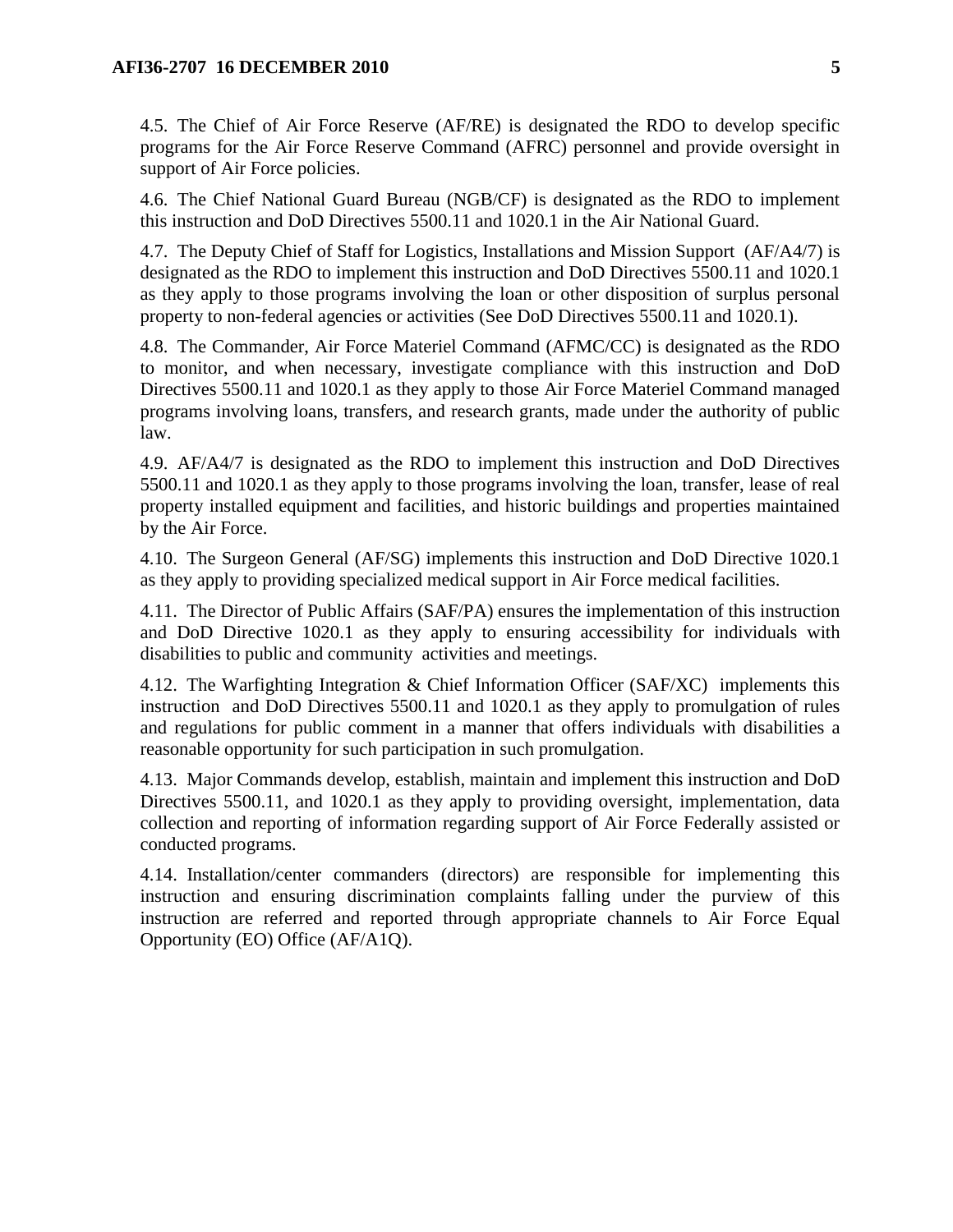4.5. The Chief of Air Force Reserve (AF/RE) is designated the RDO to develop specific programs for the Air Force Reserve Command (AFRC) personnel and provide oversight in support of Air Force policies.

4.6. The Chief National Guard Bureau (NGB/CF) is designated as the RDO to implement this instruction and DoD Directives 5500.11 and 1020.1 in the Air National Guard.

4.7. The Deputy Chief of Staff for Logistics, Installations and Mission Support (AF/A4/7) is designated as the RDO to implement this instruction and DoD Directives 5500.11 and 1020.1 as they apply to those programs involving the loan or other disposition of surplus personal property to non-federal agencies or activities (See DoD Directives 5500.11 and 1020.1).

4.8. The Commander, Air Force Materiel Command (AFMC/CC) is designated as the RDO to monitor, and when necessary, investigate compliance with this instruction and DoD Directives 5500.11 and 1020.1 as they apply to those Air Force Materiel Command managed programs involving loans, transfers, and research grants, made under the authority of public law.

4.9. AF/A4/7 is designated as the RDO to implement this instruction and DoD Directives 5500.11 and 1020.1 as they apply to those programs involving the loan, transfer, lease of real property installed equipment and facilities, and historic buildings and properties maintained by the Air Force.

4.10. The Surgeon General (AF/SG) implements this instruction and DoD Directive 1020.1 as they apply to providing specialized medical support in Air Force medical facilities.

4.11. The Director of Public Affairs (SAF/PA) ensures the implementation of this instruction and DoD Directive 1020.1 as they apply to ensuring accessibility for individuals with disabilities to public and community activities and meetings.

4.12. The Warfighting Integration & Chief Information Officer (SAF/XC) implements this instruction and DoD Directives 5500.11 and 1020.1 as they apply to promulgation of rules and regulations for public comment in a manner that offers individuals with disabilities a reasonable opportunity for such participation in such promulgation.

4.13. Major Commands develop, establish, maintain and implement this instruction and DoD Directives 5500.11, and 1020.1 as they apply to providing oversight, implementation, data collection and reporting of information regarding support of Air Force Federally assisted or conducted programs.

4.14. Installation/center commanders (directors) are responsible for implementing this instruction and ensuring discrimination complaints falling under the purview of this instruction are referred and reported through appropriate channels to Air Force Equal Opportunity (EO) Office (AF/A1Q).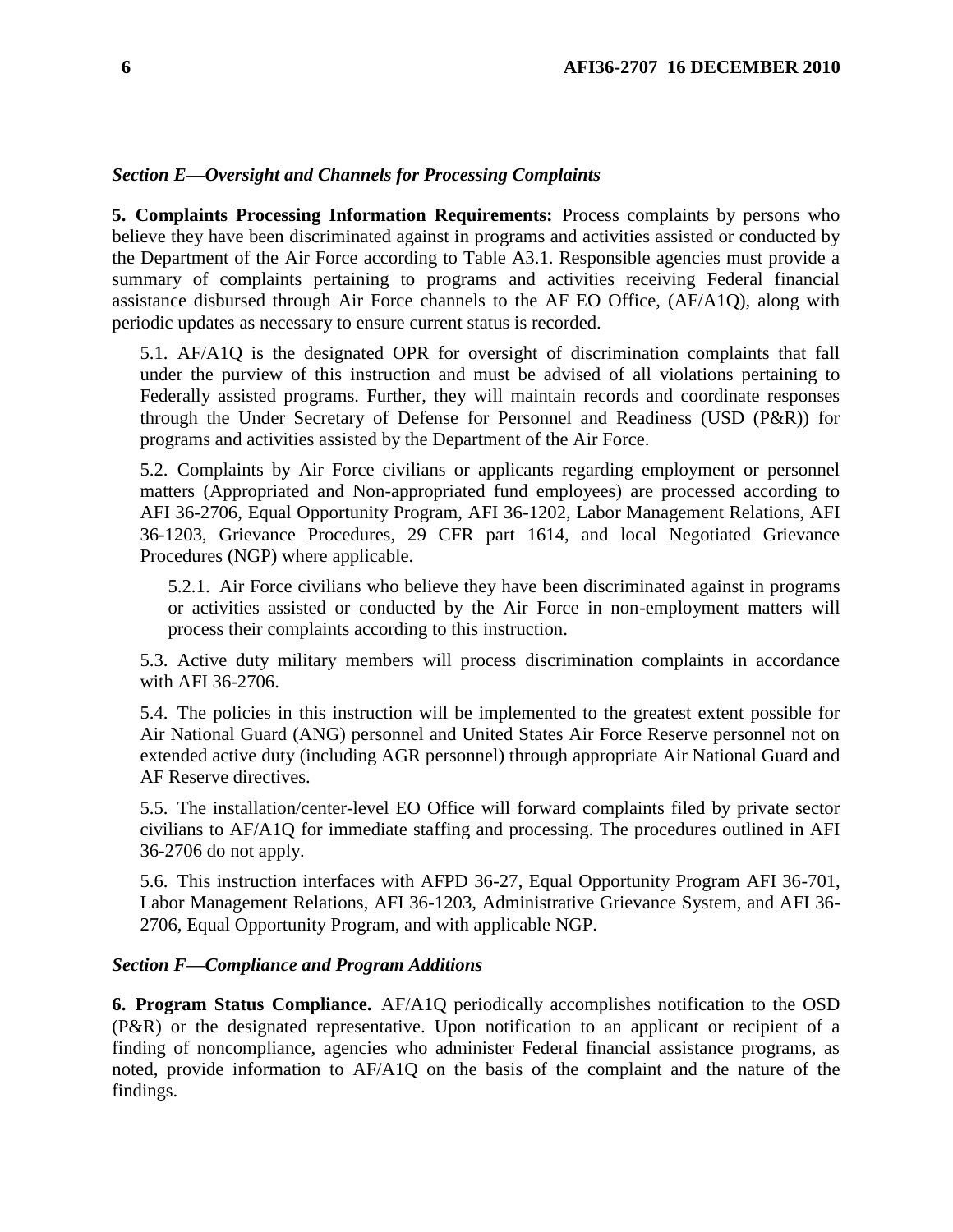### *Section E—Oversight and Channels for Processing Complaints*

**5. Complaints Processing Information Requirements:** Process complaints by persons who believe they have been discriminated against in programs and activities assisted or conducted by the Department of the Air Force according to Table A3.1. Responsible agencies must provide a summary of complaints pertaining to programs and activities receiving Federal financial assistance disbursed through Air Force channels to the AF EO Office, (AF/A1Q), along with periodic updates as necessary to ensure current status is recorded.

5.1. AF/A1Q is the designated OPR for oversight of discrimination complaints that fall under the purview of this instruction and must be advised of all violations pertaining to Federally assisted programs. Further, they will maintain records and coordinate responses through the Under Secretary of Defense for Personnel and Readiness (USD (P&R)) for programs and activities assisted by the Department of the Air Force.

5.2. Complaints by Air Force civilians or applicants regarding employment or personnel matters (Appropriated and Non-appropriated fund employees) are processed according to AFI 36-2706, Equal Opportunity Program, AFI 36-1202, Labor Management Relations, AFI 36-1203, Grievance Procedures, 29 CFR part 1614, and local Negotiated Grievance Procedures (NGP) where applicable.

5.2.1. Air Force civilians who believe they have been discriminated against in programs or activities assisted or conducted by the Air Force in non-employment matters will process their complaints according to this instruction.

5.3. Active duty military members will process discrimination complaints in accordance with AFI 36-2706.

5.4. The policies in this instruction will be implemented to the greatest extent possible for Air National Guard (ANG) personnel and United States Air Force Reserve personnel not on extended active duty (including AGR personnel) through appropriate Air National Guard and AF Reserve directives.

5.5. The installation/center-level EO Office will forward complaints filed by private sector civilians to AF/A1Q for immediate staffing and processing. The procedures outlined in AFI 36-2706 do not apply.

5.6. This instruction interfaces with AFPD 36-27, Equal Opportunity Program AFI 36-701, Labor Management Relations, AFI 36-1203, Administrative Grievance System, and AFI 36- 2706, Equal Opportunity Program, and with applicable NGP.

### *Section F—Compliance and Program Additions*

**6. Program Status Compliance.** AF/A1Q periodically accomplishes notification to the OSD (P&R) or the designated representative. Upon notification to an applicant or recipient of a finding of noncompliance, agencies who administer Federal financial assistance programs, as noted, provide information to AF/A1Q on the basis of the complaint and the nature of the findings.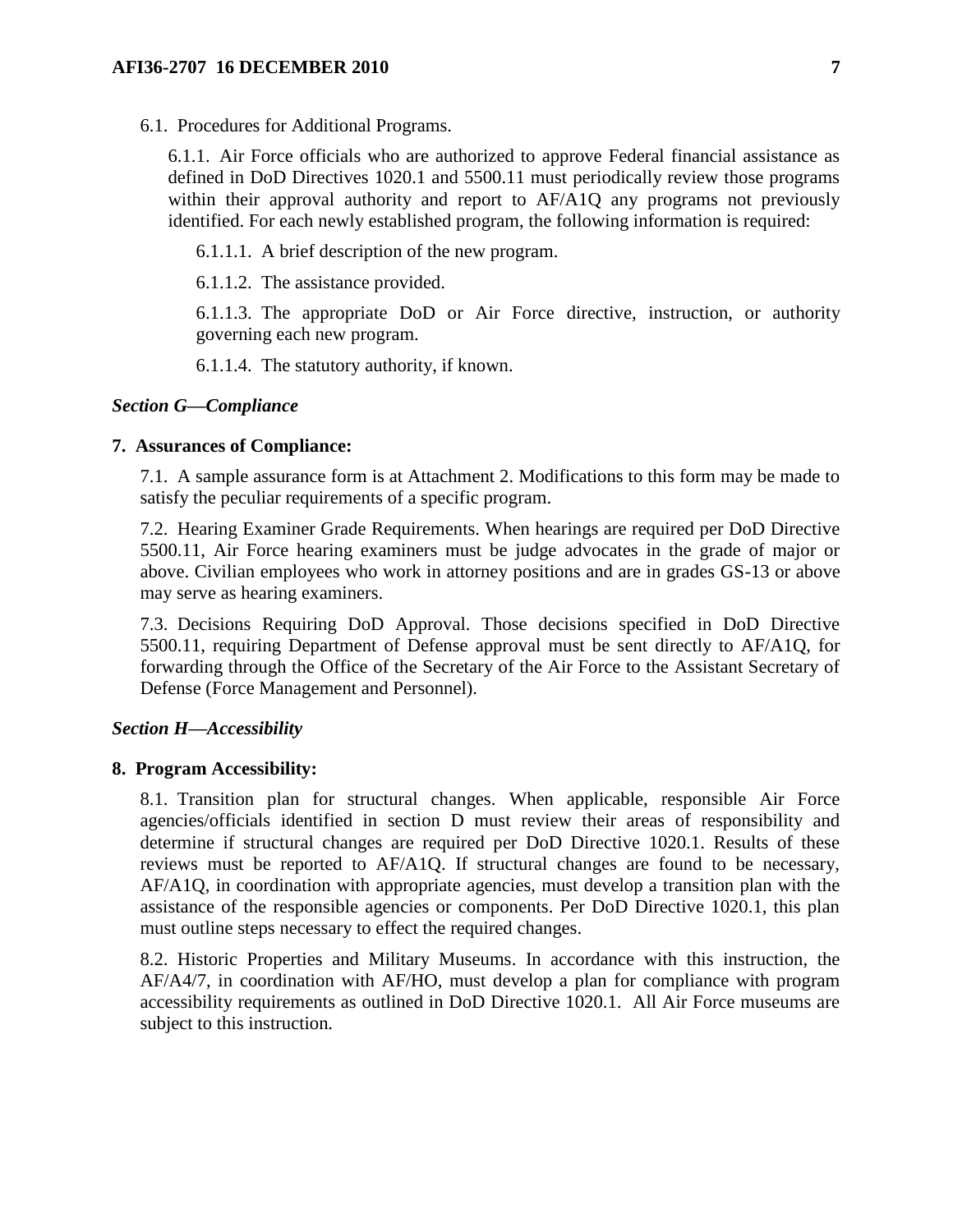6.1. Procedures for Additional Programs.

6.1.1. Air Force officials who are authorized to approve Federal financial assistance as defined in DoD Directives 1020.1 and 5500.11 must periodically review those programs within their approval authority and report to AF/A1Q any programs not previously identified. For each newly established program, the following information is required:

6.1.1.1. A brief description of the new program.

6.1.1.2. The assistance provided.

6.1.1.3. The appropriate DoD or Air Force directive, instruction, or authority governing each new program.

6.1.1.4. The statutory authority, if known.

### *Section G—Compliance*

### **7. Assurances of Compliance:**

7.1. A sample assurance form is at Attachment 2. Modifications to this form may be made to satisfy the peculiar requirements of a specific program.

7.2. Hearing Examiner Grade Requirements. When hearings are required per DoD Directive 5500.11, Air Force hearing examiners must be judge advocates in the grade of major or above. Civilian employees who work in attorney positions and are in grades GS-13 or above may serve as hearing examiners.

7.3. Decisions Requiring DoD Approval. Those decisions specified in DoD Directive 5500.11, requiring Department of Defense approval must be sent directly to AF/A1Q, for forwarding through the Office of the Secretary of the Air Force to the Assistant Secretary of Defense (Force Management and Personnel).

#### *Section H—Accessibility*

#### **8. Program Accessibility:**

8.1. Transition plan for structural changes. When applicable, responsible Air Force agencies/officials identified in section D must review their areas of responsibility and determine if structural changes are required per DoD Directive 1020.1. Results of these reviews must be reported to AF/A1Q. If structural changes are found to be necessary, AF/A1Q, in coordination with appropriate agencies, must develop a transition plan with the assistance of the responsible agencies or components. Per DoD Directive 1020.1, this plan must outline steps necessary to effect the required changes.

8.2. Historic Properties and Military Museums. In accordance with this instruction, the AF/A4/7, in coordination with AF/HO, must develop a plan for compliance with program accessibility requirements as outlined in DoD Directive 1020.1. All Air Force museums are subject to this instruction.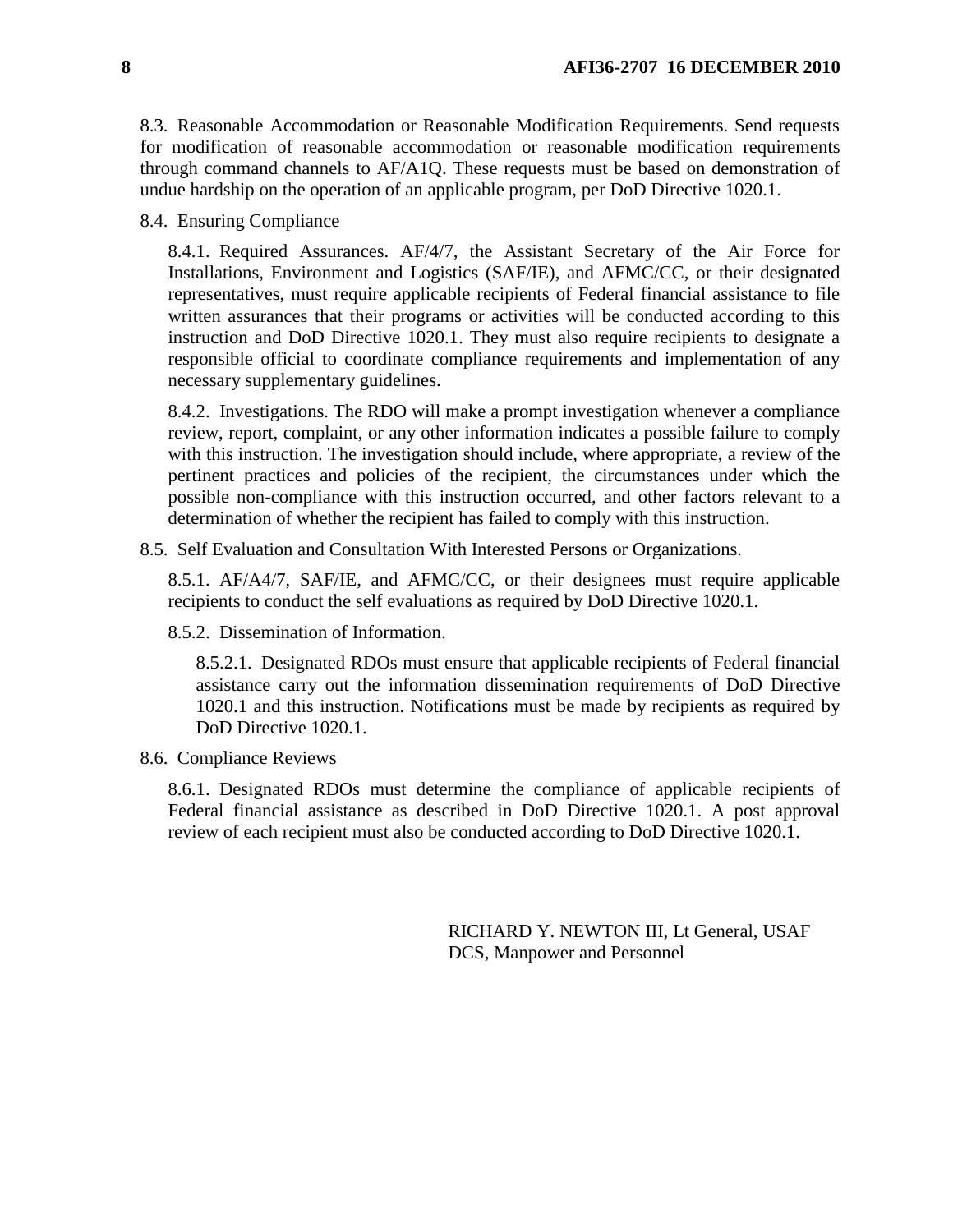8.3. Reasonable Accommodation or Reasonable Modification Requirements. Send requests for modification of reasonable accommodation or reasonable modification requirements through command channels to AF/A1Q. These requests must be based on demonstration of undue hardship on the operation of an applicable program, per DoD Directive 1020.1.

8.4. Ensuring Compliance

8.4.1. Required Assurances. AF/4/7, the Assistant Secretary of the Air Force for Installations, Environment and Logistics (SAF/IE), and AFMC/CC, or their designated representatives, must require applicable recipients of Federal financial assistance to file written assurances that their programs or activities will be conducted according to this instruction and DoD Directive 1020.1. They must also require recipients to designate a responsible official to coordinate compliance requirements and implementation of any necessary supplementary guidelines.

8.4.2. Investigations. The RDO will make a prompt investigation whenever a compliance review, report, complaint, or any other information indicates a possible failure to comply with this instruction. The investigation should include, where appropriate, a review of the pertinent practices and policies of the recipient, the circumstances under which the possible non-compliance with this instruction occurred, and other factors relevant to a determination of whether the recipient has failed to comply with this instruction.

8.5. Self Evaluation and Consultation With Interested Persons or Organizations.

8.5.1. AF/A4/7, SAF/IE, and AFMC/CC, or their designees must require applicable recipients to conduct the self evaluations as required by DoD Directive 1020.1.

8.5.2. Dissemination of Information.

8.5.2.1. Designated RDOs must ensure that applicable recipients of Federal financial assistance carry out the information dissemination requirements of DoD Directive 1020.1 and this instruction. Notifications must be made by recipients as required by DoD Directive 1020.1.

8.6. Compliance Reviews

8.6.1. Designated RDOs must determine the compliance of applicable recipients of Federal financial assistance as described in DoD Directive 1020.1. A post approval review of each recipient must also be conducted according to DoD Directive 1020.1.

> RICHARD Y. NEWTON III, Lt General, USAF DCS, Manpower and Personnel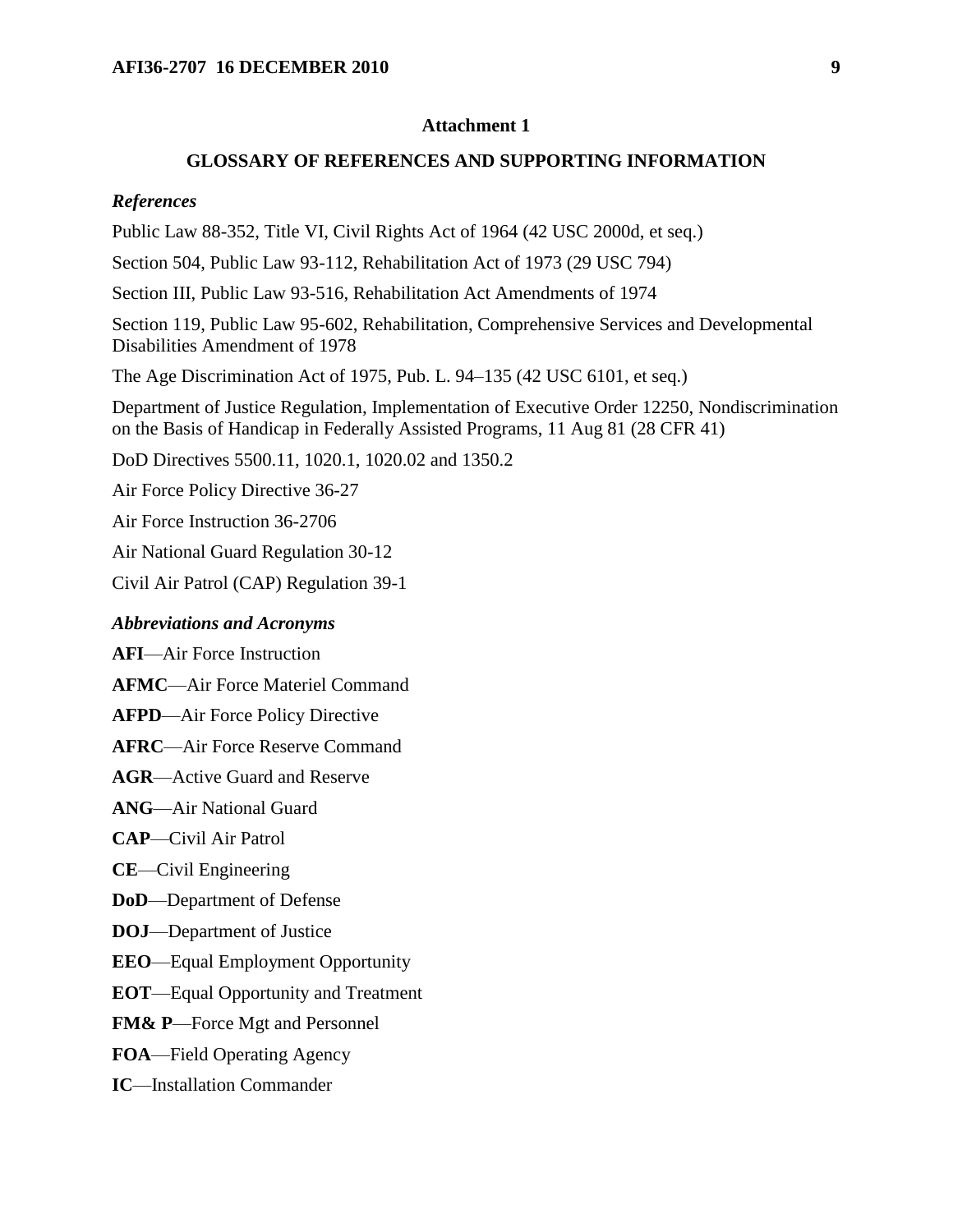### **Attachment 1**

#### **GLOSSARY OF REFERENCES AND SUPPORTING INFORMATION**

#### *References*

Public Law 88-352, Title VI, Civil Rights Act of 1964 (42 USC 2000d, et seq.)

Section 504, Public Law 93-112, Rehabilitation Act of 1973 (29 USC 794)

Section III, Public Law 93-516, Rehabilitation Act Amendments of 1974

Section 119, Public Law 95-602, Rehabilitation, Comprehensive Services and Developmental Disabilities Amendment of 1978

The Age Discrimination Act of 1975, Pub. L. 94–135 (42 USC 6101, et seq.)

Department of Justice Regulation, Implementation of Executive Order 12250, Nondiscrimination on the Basis of Handicap in Federally Assisted Programs, 11 Aug 81 (28 CFR 41)

DoD Directives 5500.11, 1020.1, 1020.02 and 1350.2

Air Force Policy Directive 36-27

Air Force Instruction 36-2706

Air National Guard Regulation 30-12

Civil Air Patrol (CAP) Regulation 39-1

#### *Abbreviations and Acronyms*

**AFI**—Air Force Instruction

**AFMC**—Air Force Materiel Command

**AFPD**—Air Force Policy Directive

**AFRC**—Air Force Reserve Command

**AGR**—Active Guard and Reserve

**ANG**—Air National Guard

**CAP**—Civil Air Patrol

**CE**—Civil Engineering

**DoD**—Department of Defense

**DOJ**—Department of Justice

**EEO**—Equal Employment Opportunity

**EOT**—Equal Opportunity and Treatment

**FM& P**—Force Mgt and Personnel

**FOA**—Field Operating Agency

**IC**—Installation Commander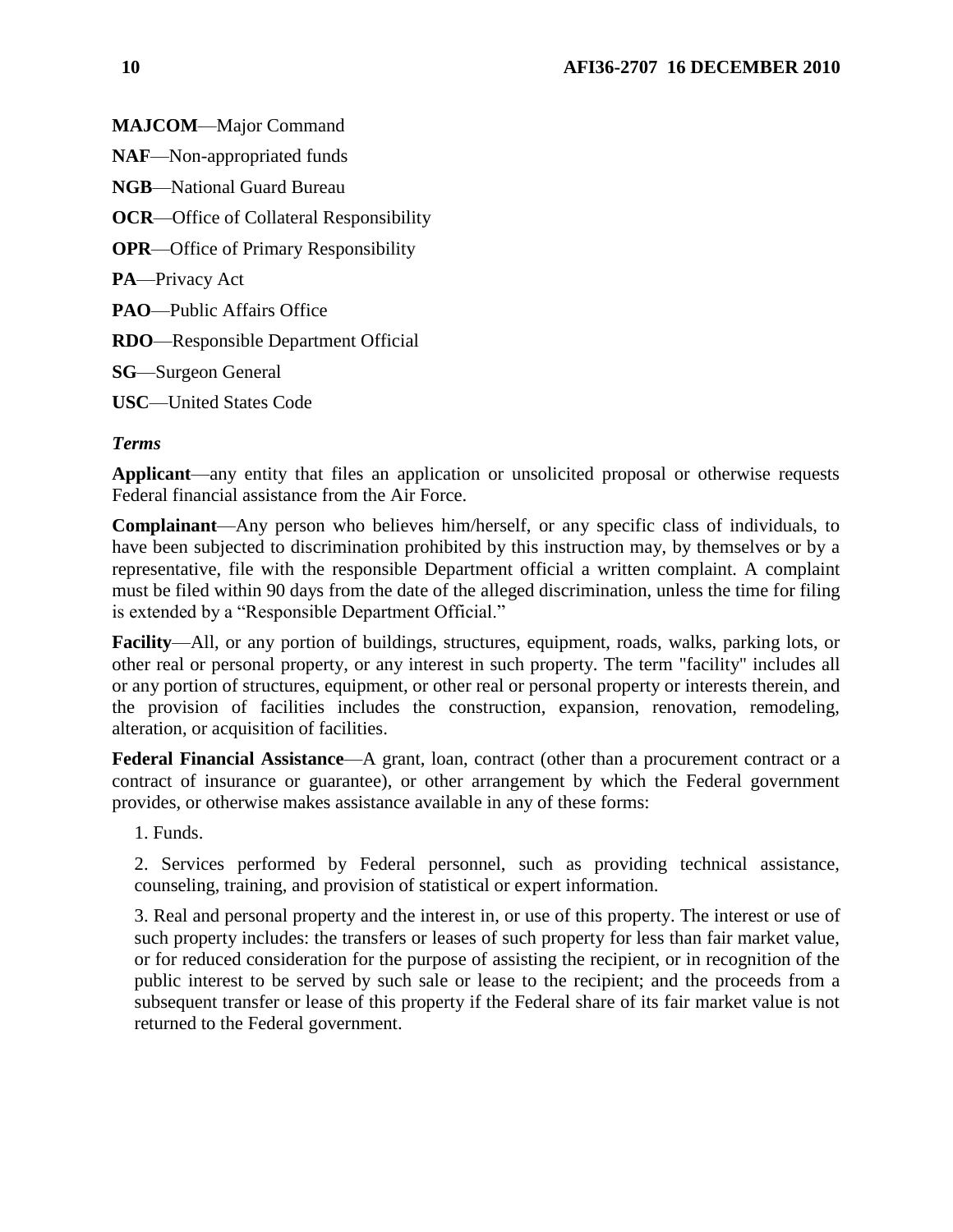**MAJCOM**—Major Command **NAF**—Non-appropriated funds **NGB**—National Guard Bureau **OCR**—Office of Collateral Responsibility **OPR**—Office of Primary Responsibility **PA**—Privacy Act **PAO**—Public Affairs Office **RDO**—Responsible Department Official **SG**—Surgeon General **USC**—United States Code

# *Terms*

**Applicant**—any entity that files an application or unsolicited proposal or otherwise requests Federal financial assistance from the Air Force.

**Complainant**—Any person who believes him/herself, or any specific class of individuals, to have been subjected to discrimination prohibited by this instruction may, by themselves or by a representative, file with the responsible Department official a written complaint. A complaint must be filed within 90 days from the date of the alleged discrimination, unless the time for filing is extended by a "Responsible Department Official."

**Facility**—All, or any portion of buildings, structures, equipment, roads, walks, parking lots, or other real or personal property, or any interest in such property. The term "facility" includes all or any portion of structures, equipment, or other real or personal property or interests therein, and the provision of facilities includes the construction, expansion, renovation, remodeling, alteration, or acquisition of facilities.

**Federal Financial Assistance**—A grant, loan, contract (other than a procurement contract or a contract of insurance or guarantee), or other arrangement by which the Federal government provides, or otherwise makes assistance available in any of these forms:

1. Funds.

2. Services performed by Federal personnel, such as providing technical assistance, counseling, training, and provision of statistical or expert information.

3. Real and personal property and the interest in, or use of this property. The interest or use of such property includes: the transfers or leases of such property for less than fair market value, or for reduced consideration for the purpose of assisting the recipient, or in recognition of the public interest to be served by such sale or lease to the recipient; and the proceeds from a subsequent transfer or lease of this property if the Federal share of its fair market value is not returned to the Federal government.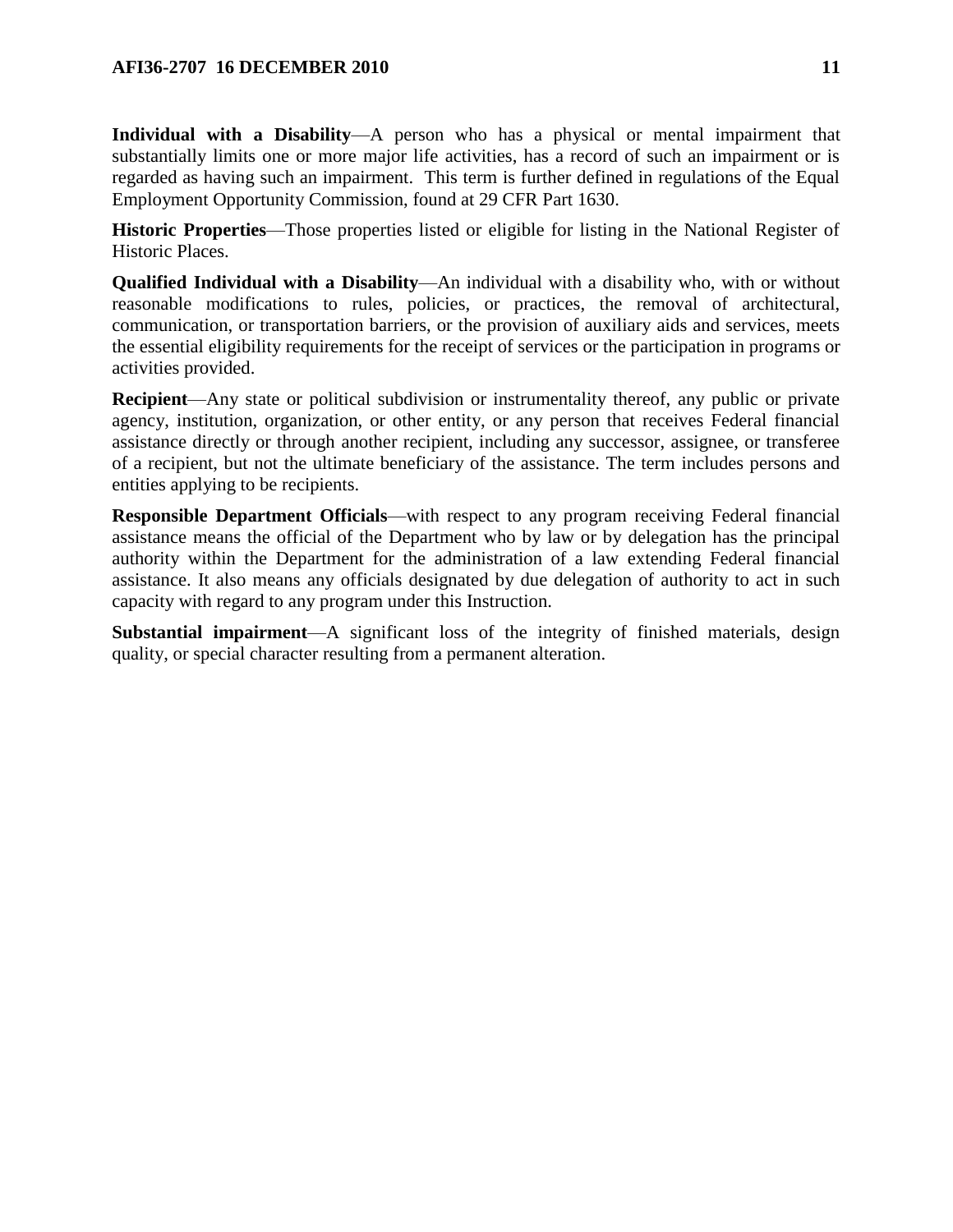### **AFI36-2707 16 DECEMBER 2010** 11

**Individual with a Disability**—A person who has a physical or mental impairment that substantially limits one or more major life activities, has a record of such an impairment or is regarded as having such an impairment. This term is further defined in regulations of the Equal Employment Opportunity Commission, found at 29 CFR Part 1630.

**Historic Properties**—Those properties listed or eligible for listing in the National Register of Historic Places.

**Qualified Individual with a Disability**—An individual with a disability who, with or without reasonable modifications to rules, policies, or practices, the removal of architectural, communication, or transportation barriers, or the provision of auxiliary aids and services, meets the essential eligibility requirements for the receipt of services or the participation in programs or activities provided.

**Recipient**—Any state or political subdivision or instrumentality thereof, any public or private agency, institution, organization, or other entity, or any person that receives Federal financial assistance directly or through another recipient, including any successor, assignee, or transferee of a recipient, but not the ultimate beneficiary of the assistance. The term includes persons and entities applying to be recipients.

**Responsible Department Officials**—with respect to any program receiving Federal financial assistance means the official of the Department who by law or by delegation has the principal authority within the Department for the administration of a law extending Federal financial assistance. It also means any officials designated by due delegation of authority to act in such capacity with regard to any program under this Instruction.

**Substantial impairment**—A significant loss of the integrity of finished materials, design quality, or special character resulting from a permanent alteration.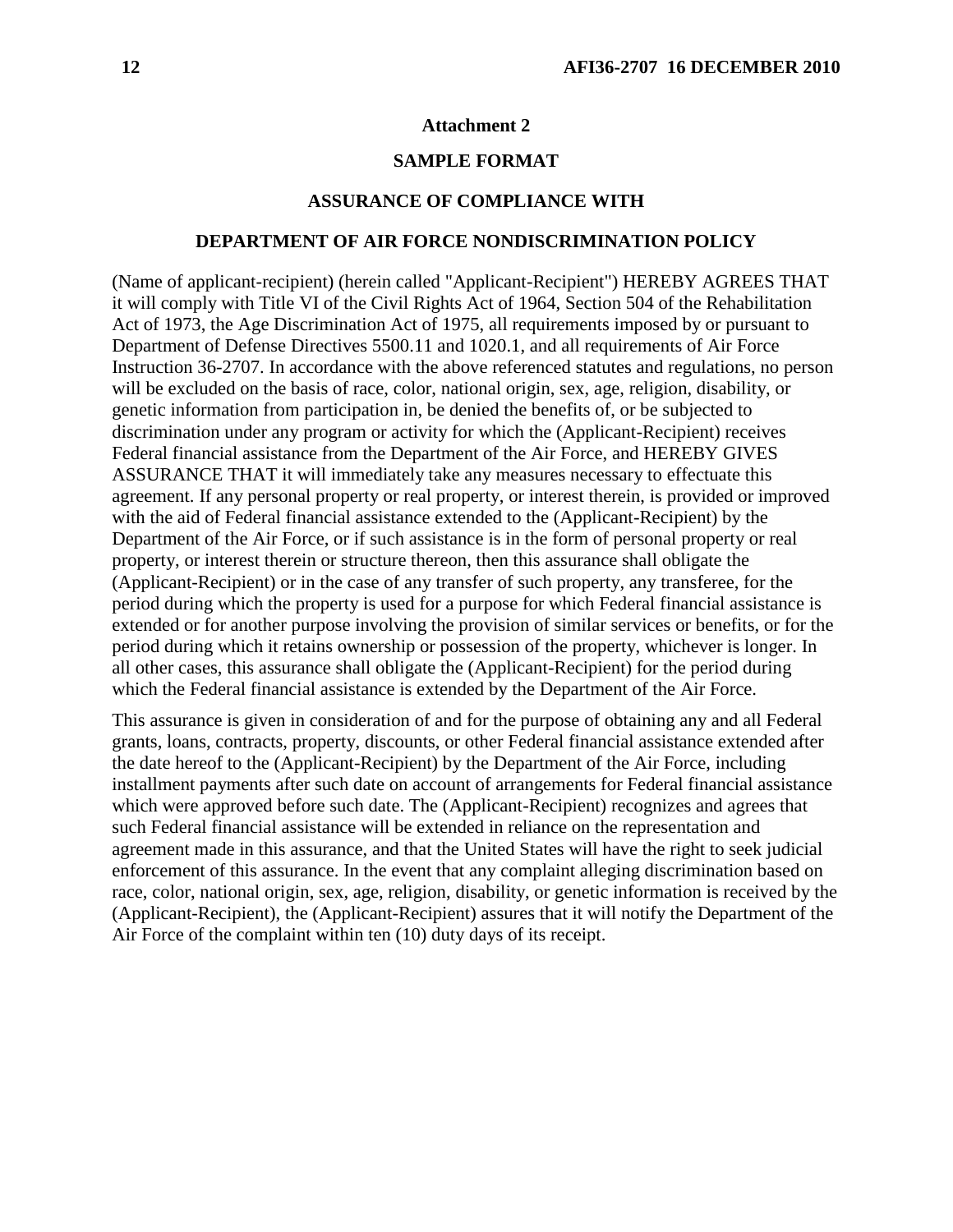#### **Attachment 2**

### **SAMPLE FORMAT**

#### **ASSURANCE OF COMPLIANCE WITH**

#### **DEPARTMENT OF AIR FORCE NONDISCRIMINATION POLICY**

(Name of applicant-recipient) (herein called "Applicant-Recipient") HEREBY AGREES THAT it will comply with Title VI of the Civil Rights Act of 1964, Section 504 of the Rehabilitation Act of 1973, the Age Discrimination Act of 1975, all requirements imposed by or pursuant to Department of Defense Directives 5500.11 and 1020.1, and all requirements of Air Force Instruction 36-2707. In accordance with the above referenced statutes and regulations, no person will be excluded on the basis of race, color, national origin, sex, age, religion, disability, or genetic information from participation in, be denied the benefits of, or be subjected to discrimination under any program or activity for which the (Applicant-Recipient) receives Federal financial assistance from the Department of the Air Force, and HEREBY GIVES ASSURANCE THAT it will immediately take any measures necessary to effectuate this agreement. If any personal property or real property, or interest therein, is provided or improved with the aid of Federal financial assistance extended to the (Applicant-Recipient) by the Department of the Air Force, or if such assistance is in the form of personal property or real property, or interest therein or structure thereon, then this assurance shall obligate the (Applicant-Recipient) or in the case of any transfer of such property, any transferee, for the period during which the property is used for a purpose for which Federal financial assistance is extended or for another purpose involving the provision of similar services or benefits, or for the period during which it retains ownership or possession of the property, whichever is longer. In all other cases, this assurance shall obligate the (Applicant-Recipient) for the period during which the Federal financial assistance is extended by the Department of the Air Force.

This assurance is given in consideration of and for the purpose of obtaining any and all Federal grants, loans, contracts, property, discounts, or other Federal financial assistance extended after the date hereof to the (Applicant-Recipient) by the Department of the Air Force, including installment payments after such date on account of arrangements for Federal financial assistance which were approved before such date. The (Applicant-Recipient) recognizes and agrees that such Federal financial assistance will be extended in reliance on the representation and agreement made in this assurance, and that the United States will have the right to seek judicial enforcement of this assurance. In the event that any complaint alleging discrimination based on race, color, national origin, sex, age, religion, disability, or genetic information is received by the (Applicant-Recipient), the (Applicant-Recipient) assures that it will notify the Department of the Air Force of the complaint within ten (10) duty days of its receipt.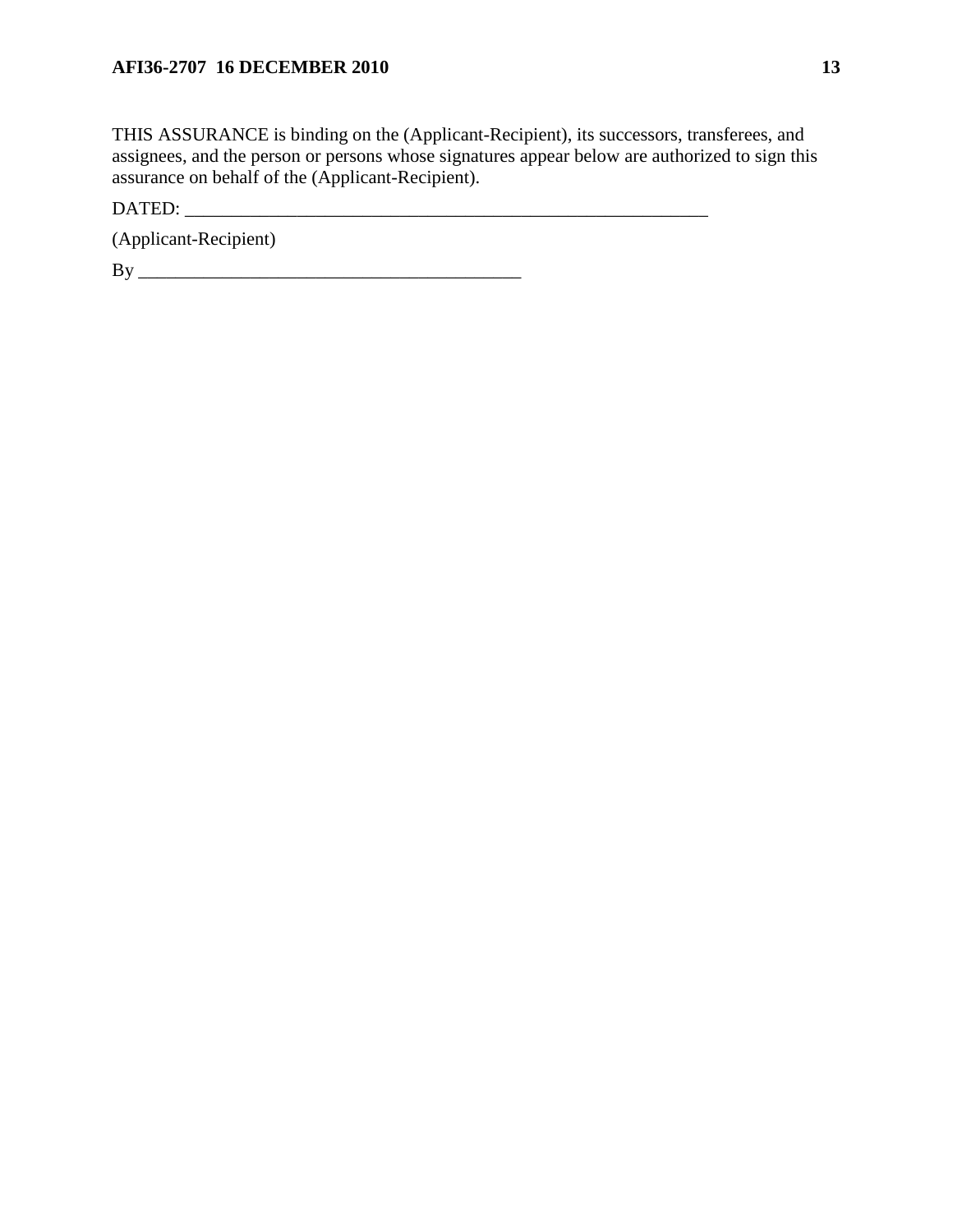THIS ASSURANCE is binding on the (Applicant-Recipient), its successors, transferees, and assignees, and the person or persons whose signatures appear below are authorized to sign this assurance on behalf of the (Applicant-Recipient).

DATED: \_\_\_\_\_\_\_\_\_\_\_\_\_\_\_\_\_\_\_\_\_\_\_\_\_\_\_\_\_\_\_\_\_\_\_\_\_\_\_\_\_\_\_\_\_\_\_\_\_\_\_\_\_\_\_\_

(Applicant-Recipient)

By \_\_\_\_\_\_\_\_\_\_\_\_\_\_\_\_\_\_\_\_\_\_\_\_\_\_\_\_\_\_\_\_\_\_\_\_\_\_\_\_\_